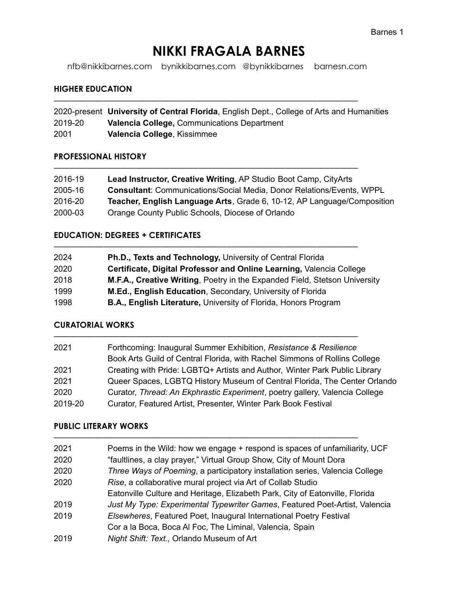# **NIKKI FRAGALA BARNES**

nfb@nikkibarnes.com bynikkibarnes.com @bynikkibarnes barnesn.com

—————————————————————————————————————

—————————————————————————————————————

—————————————————————————————————————

—————————————————————————————————————

#### **HIGHER EDUCATION**

2020-present **University of Central Florida**, English Dept., College of Arts and Humanities 2019-20 **Valencia College,** Communications Department 2001 **Valencia College**, Kissimmee

#### **PROFESSIONAL HISTORY**

| 2016-19 | Lead Instructor, Creative Writing, AP Studio Boot Camp, CityArts             |
|---------|------------------------------------------------------------------------------|
| 2005-16 | <b>Consultant: Communications/Social Media, Donor Relations/Events, WPPL</b> |
| 2016-20 | Teacher, English Language Arts, Grade 6, 10-12, AP Language/Composition      |
| 2000-03 | Orange County Public Schools, Diocese of Orlando                             |

## **EDUCATION: DEGREES + CERTIFICATES**

| 2024 | Ph.D., Texts and Technology, University of Central Florida                 |
|------|----------------------------------------------------------------------------|
| 2020 | Certificate, Digital Professor and Online Learning, Valencia College       |
| 2018 | M.F.A., Creative Writing, Poetry in the Expanded Field, Stetson University |
| 1999 | M.Ed., English Education, Secondary, University of Florida                 |
| 1998 | <b>B.A., English Literature, University of Florida, Honors Program</b>     |

# **CURATORIAL WORKS**

| 2021    | Forthcoming: Inaugural Summer Exhibition, Resistance & Resilience           |
|---------|-----------------------------------------------------------------------------|
|         | Book Arts Guild of Central Florida, with Rachel Simmons of Rollins College  |
| 2021    | Creating with Pride: LGBTQ+ Artists and Author, Winter Park Public Library  |
| 2021    | Queer Spaces, LGBTQ History Museum of Central Florida, The Center Orlando   |
| 2020    | Curator, Thread: An Ekphrastic Experiment, poetry gallery, Valencia College |
| 2019-20 | Curator, Featured Artist, Presenter, Winter Park Book Festival              |

#### **PUBLIC LITERARY WORKS**

| 2021 | Poems in the Wild: how we engage + respond is spaces of unfamiliarity, UCF   |
|------|------------------------------------------------------------------------------|
| 2020 | "faultlines, a clay prayer," Virtual Group Show, City of Mount Dora          |
| 2020 | Three Ways of Poeming, a participatory installation series, Valencia College |
| 2020 | Rise, a collaborative mural project via Art of Collab Studio                 |
|      | Eatonville Culture and Heritage, Elizabeth Park, City of Eatonville, Florida |
| 2019 | Just My Type: Experimental Typewriter Games, Featured Poet-Artist, Valencia  |
| 2019 | Elsewheres, Featured Poet, Inaugural International Poetry Festival           |
|      | Cor a la Boca, Boca Al Foc, The Liminal, Valencia, Spain                     |
| 2019 | Night Shift: Text., Orlando Museum of Art                                    |